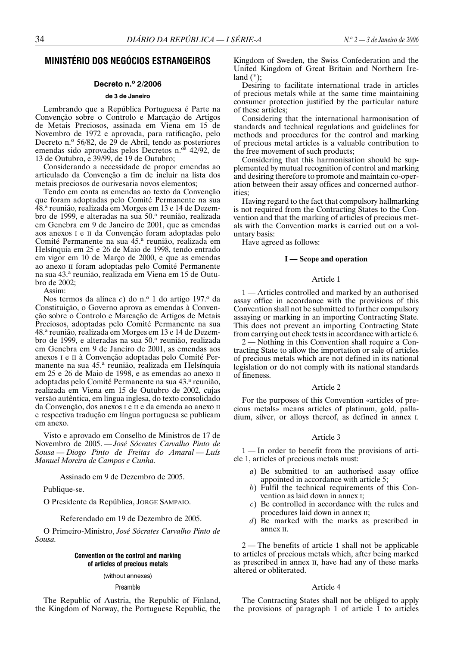# **MINISTÉRIO DOS NEGÓCIOS ESTRANGEIROS**

## **Decreto n.o 2/2006**

### **de 3 de Janeiro**

Lembrando que a República Portuguesa é Parte na Convenção sobre o Controlo e Marcação de Artigos de Metais Preciosos, assinada em Viena em 15 de Novembro de 1972 e aprovada, para ratificação, pelo Decreto n.º 56/82, de  $29$  de Abril, tendo as posteriores emendas sido aprovadas pelos Decretos n.<sup>os</sup> 42/92, de 13 de Outubro, e 39/99, de 19 de Outubro;

Considerando a necessidade de propor emendas ao articulado da Convenção a fim de incluir na lista dos metais preciosos de ourivesaria novos elementos;

Tendo em conta as emendas ao texto da Convenção que foram adoptadas pelo Comité Permanente na sua 48.<sup>a</sup> reunião, realizada em Morges em 13 e 14 de Dezembro de 1999, e alteradas na sua 50.ª reunião, realizada em Genebra em 9 de Janeiro de 2001, que as emendas aos anexos I e II da Convenção foram adoptadas pelo Comité Permanente na sua 45.ª reunião, realizada em Helsínquia em 25 e 26 de Maio de 1998, tendo entrado em vigor em 10 de Março de 2000, e que as emendas ao anexo II foram adoptadas pelo Comité Permanente na sua 43.ª reunião, realizada em Viena em 15 de Outubro de 2002;

Assim:

Nos termos da alínea *c*) do n.º 1 do artigo 197.º da Constituição, o Governo aprova as emendas à Convenção sobre o Controlo e Marcação de Artigos de Metais Preciosos, adoptadas pelo Comité Permanente na sua 48.a reunião, realizada em Morges em 13 e 14 de Dezembro de 1999, e alteradas na sua 50.ª reunião, realizada em Genebra em 9 de Janeiro de 2001, as emendas aos anexos I e II à Convenção adoptadas pelo Comité Permanente na sua 45.ª reunião, realizada em Helsínquia em 25 e 26 de Maio de 1998, e as emendas ao anexo II adoptadas pelo Comité Permanente na sua 43.ª reunião, realizada em Viena em 15 de Outubro de 2002, cujas versão autêntica, em língua inglesa, do texto consolidado da Convenção, dos anexos I e II e da emenda ao anexo II e respectiva tradução em língua portuguesa se publicam em anexo.

Visto e aprovado em Conselho de Ministros de 17 de Novembro de 2005. — *José Sócrates Carvalho Pinto de Sousa — Diogo Pinto de Freitas do Amaral — Luís Manuel Moreira de Campos e Cunha.*

Assinado em 9 de Dezembro de 2005.

Publique-se.

O Presidente da República, JORGE SAMPAIO.

Referendado em 19 de Dezembro de 2005.

O Primeiro-Ministro, *José Sócrates Carvalho Pinto de Sousa.*

## **Convention on the control and marking of articles of precious metals**

## (without annexes)

Preamble

The Republic of Austria, the Republic of Finland, the Kingdom of Norway, the Portuguese Republic, the Kingdom of Sweden, the Swiss Confederation and the United Kingdom of Great Britain and Northern Ire $land (*)$ ;

Desiring to facilitate international trade in articles of precious metals while at the same time maintaining consumer protection justified by the particular nature of these articles;

Considering that the international harmonisation of standards and technical regulations and guidelines for methods and procedures for the control and marking of precious metal articles is a valuable contribution to the free movement of such products;

Considering that this harmonisation should be supplemented by mutual recognition of control and marking and desiring therefore to promote and maintain co-operation between their assay offices and concerned authorities;

Having regard to the fact that compulsory hallmarking is not required from the Contracting States to the Convention and that the marking of articles of precious metals with the Convention marks is carried out on a voluntary basis:

Have agreed as follows:

## **I — Scope and operation**

### Article 1

1 — Articles controlled and marked by an authorised assay office in accordance with the provisions of this Convention shall not be submitted to further compulsory assaying or marking in an importing Contracting State. This does not prevent an importing Contracting State from carrying out check tests in accordance with article 6.

2 — Nothing in this Convention shall require a Contracting State to allow the importation or sale of articles of precious metals which are not defined in its national legislation or do not comply with its national standards of fineness.

### Article 2

For the purposes of this Convention «articles of precious metals» means articles of platinum, gold, palladium, silver, or alloys thereof, as defined in annex I.

### Article 3

1 — In order to benefit from the provisions of article 1, articles of precious metals must:

- *a*) Be submitted to an authorised assay office appointed in accordance with article 5;
- *b*) Fulfil the technical requirements of this Convention as laid down in annex I;
- *c*) Be controlled in accordance with the rules and procedures laid down in annex II;
- *d*) Be marked with the marks as prescribed in annex II.

2 — The benefits of article 1 shall not be applicable to articles of precious metals which, after being marked as prescribed in annex II, have had any of these marks altered or obliterated.

## Article 4

The Contracting States shall not be obliged to apply the provisions of paragraph 1 of article 1 to articles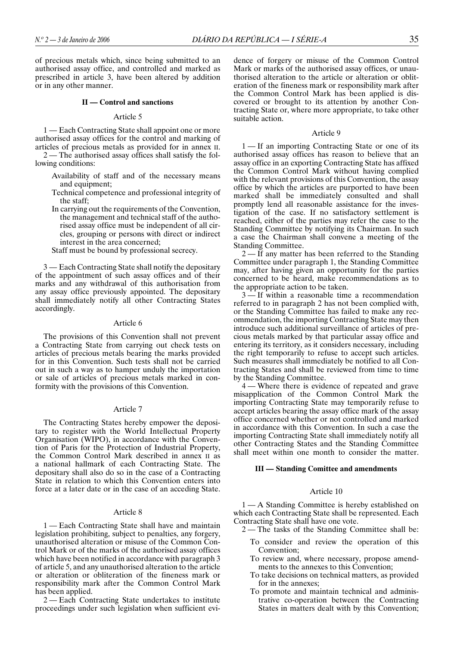of precious metals which, since being submitted to an authorised assay office, and controlled and marked as prescribed in article 3, have been altered by addition or in any other manner.

### **II — Control and sanctions**

### Article 5

1 — Each Contracting State shall appoint one or more authorised assay offices for the control and marking of articles of precious metals as provided for in annex II.

2 — The authorised assay offices shall satisfy the following conditions:

- Availability of staff and of the necessary means and equipment;
- Technical competence and professional integrity of the staff;
- In carrying out the requirements of the Convention, the management and technical staff of the authorised assay office must be independent of all circles, grouping or persons with direct or indirect interest in the area concerned;

Staff must be bound by professional secrecy.

3 — Each Contracting State shall notify the depositary of the appointment of such assay offices and of their marks and any withdrawal of this authorisation from any assay office previously appointed. The depositary shall immediately notify all other Contracting States accordingly.

## Article 6

The provisions of this Convention shall not prevent a Contracting State from carrying out check tests on articles of precious metals bearing the marks provided for in this Convention. Such tests shall not be carried out in such a way as to hamper unduly the importation or sale of articles of precious metals marked in conformity with the provisions of this Convention.

### Article 7

The Contracting States hereby empower the depositary to register with the World Intellectual Property Organisation (WIPO), in accordance with the Convention of Paris for the Protection of Industrial Property, the Common Control Mark described in annex II as a national hallmark of each Contracting State. The depositary shall also do so in the case of a Contracting State in relation to which this Convention enters into force at a later date or in the case of an acceding State.

### Article 8

1 — Each Contracting State shall have and maintain legislation prohibiting, subject to penalties, any forgery, unauthorised alteration or misuse of the Common Control Mark or of the marks of the authorised assay offices which have been notified in accordance with paragraph 3 of article 5, and any unauthorised alteration to the article or alteration or obliteration of the fineness mark or responsibility mark after the Common Control Mark has been applied.

2 — Each Contracting State undertakes to institute proceedings under such legislation when sufficient evidence of forgery or misuse of the Common Control Mark or marks of the authorised assay offices, or unauthorised alteration to the article or alteration or obliteration of the fineness mark or responsibility mark after the Common Control Mark has been applied is discovered or brought to its attention by another Contracting State or, where more appropriate, to take other suitable action.

### Article 9

1 — If an importing Contracting State or one of its authorised assay offices has reason to believe that an assay office in an exporting Contracting State has affixed the Common Control Mark without having complied with the relevant provisions of this Convention, the assay office by which the articles are purported to have been marked shall be immediately consulted and shall promptly lend all reasonable assistance for the investigation of the case. If no satisfactory settlement is reached, either of the parties may refer the case to the Standing Committee by notifying its Chairman. In such a case the Chairman shall convene a meeting of the Standing Committee.

2 — If any matter has been referred to the Standing Committee under paragraph 1, the Standing Committee may, after having given an opportunity for the parties concerned to be heard, make recommendations as to the appropriate action to be taken.

3 — If within a reasonable time a recommendation referred to in paragraph 2 has not been complied with, or the Standing Committee has failed to make any recommendation, the importing Contracting State may then introduce such additional surveillance of articles of precious metals marked by that particular assay office and entering its territory, as it considers necessary, including the right temporarily to refuse to accept such articles. Such measures shall immediately be notified to all Contracting States and shall be reviewed from time to time by the Standing Committee.

4 — Where there is evidence of repeated and grave misapplication of the Common Control Mark the importing Contracting State may temporarily refuse to accept articles bearing the assay office mark of the assay office concerned whether or not controlled and marked in accordance with this Convention. In such a case the importing Contracting State shall immediately notify all other Contracting States and the Standing Committee shall meet within one month to consider the matter.

## **III — Standing Comittee and amendments**

## Article 10

1 — A Standing Committee is hereby established on which each Contracting State shall be represented. Each Contracting State shall have one vote.

- 2— The tasks of the Standing Committee shall be:
	- To consider and review the operation of this Convention;
	- To review and, where necessary, propose amendments to the annexes to this Convention;
	- To take decisions on technical matters, as provided for in the annexes;
	- To promote and maintain technical and administrative co-operation between the Contracting States in matters dealt with by this Convention;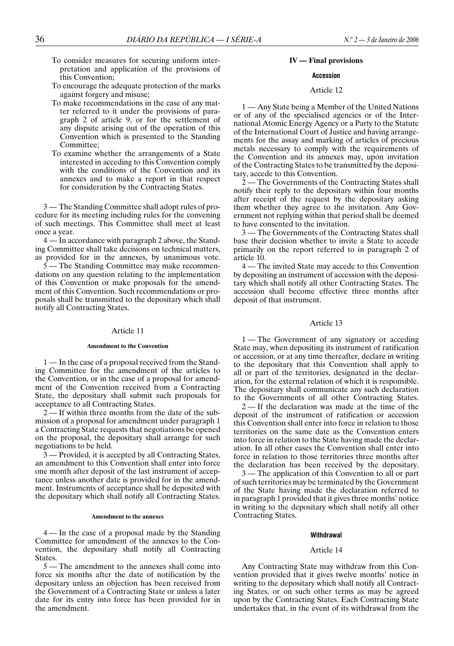- To consider measures for securing uniform interpretation and application of the provisions of this Convention;
- To encourage the adequate protection of the marks against forgery and misuse;
- To make recommendations in the case of any matter referred to it under the provisions of paragraph 2 of article 9, or for the settlement of any dispute arising out of the operation of this Convention which is presented to the Standing Committee;
- To examine whether the arrangements of a State interested in acceding to this Convention comply with the conditions of the Convention and its annexes and to make a report in that respect for consideration by the Contracting States.

3 — The Standing Committee shall adopt rules of procedure for its meeting including rules for the convening of such meetings. This Committee shall meet at least once a year.

4 — In accordance with paragraph 2 above, the Standing Committee shall take decisions on technical matters, as provided for in the annexes, by unanimous vote.

5 — The Standing Committee may make recommendations on any question relating to the implementation of this Convention or make proposals for the amendment of this Convention. Such recommendations or proposals shall be transmitted to the depositary which shall notify all Contracting States.

## Article 11

### **Amendment to the Convention**

1 — In the case of a proposal received from the Standing Committee for the amendment of the articles to the Convention, or in the case of a proposal for amendment of the Convention received from a Contracting State, the depositary shall submit such proposals for acceptance to all Contracting States.

2 — If within three months from the date of the submission of a proposal for amendment under paragraph 1 a Contracting State requests that negotiations be opened on the proposal, the depositary shall arrange for such negotiations to be held.

3 — Provided, it is accepted by all Contracting States, an amendment to this Convention shall enter into force one month after deposit of the last instrument of acceptance unless another date is provided for in the amendment. Instruments of acceptance shall be deposited with the depositary which shall notify all Contracting States.

### **Amendment to the annexes**

4 — In the case of a proposal made by the Standing Committee for amendment of the annexes to the Convention, the depositary shall notify all Contracting States.

5 — The amendment to the annexes shall come into force six months after the date of notification by the depositary unless an objection has been received from the Government of a Contracting State or unless a later date for its entry into force has been provided for in the amendment.

## **IV — Final provisions**

## **Accession**

## Article 12

1 — Any State being a Member of the United Nations or of any of the specialised agencies or of the International Atomic Energy Agency or a Party to the Statute of the International Court of Justice and having arrangements for the assay and marking of articles of precious metals necessary to comply with the requirements of the Convention and its annexes may, upon invitation of the Contracting States to be transmitted by the depositary, accede to this Convention.

2 — The Governments of the Contracting States shall notify their reply to the depositary within four months after receipt of the request by the depositary asking them whether they agree to the invitation. Any Government not replying within that period shall be deemed to have consented to the invitation.

3 — The Governments of the Contracting States shall base their decision whether to invite a State to accede primarily on the report referred to in paragraph 2 of article 10.

4 — The invited State may accede to this Convention by depositing an instrument of accession with the depositary which shall notify all other Contracting States. The accession shall become effective three months after deposit of that instrument.

## Article 13

1 — The Government of any signatory or acceding State may, when depositing its instrument of ratification or accession, or at any time thereafter, declare in writing to the depositary that this Convention shall apply to all or part of the territories, designated in the declaration, for the external relation of which it is responsible. The depositary shall communicate any such declaration to the Governments of all other Contracting States.

2—If the declaration was made at the time of the deposit of the instrument of ratification or accession this Convention shall enter into force in relation to those territories on the same date as the Convention enters into force in relation to the State having made the declaration. In all other cases the Convention shall enter into force in relation to those territories three months after the declaration has been received by the depositary.

3 — The application of this Convention to all or part of such territories may be terminated by the Government of the State having made the declaration referred to in paragraph 1 provided that it gives three months' notice in writing to the depositary which shall notify all other Contracting States.

### **Withdrawal**

## Article 14

Any Contracting State may withdraw from this Convention provided that it gives twelve months' notice in writing to the depositary which shall notify all Contracting States, or on such other terms as may be agreed upon by the Contracting States. Each Contracting State undertakes that, in the event of its withdrawal from the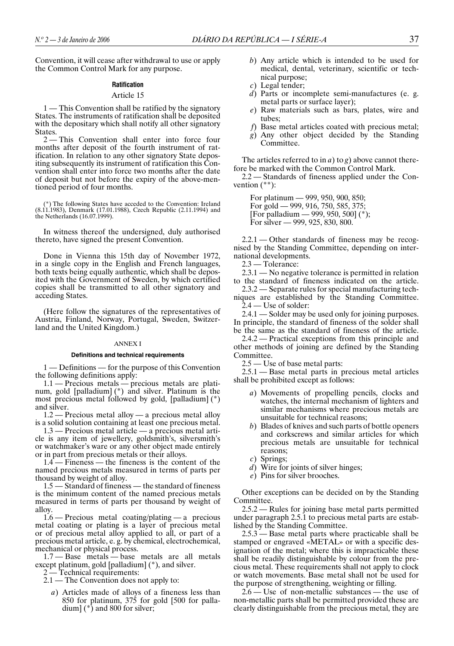Convention, it will cease after withdrawal to use or apply the Common Control Mark for any purpose.

## **Ratification**

### Article 15

1 — This Convention shall be ratified by the signatory States. The instruments of ratification shall be deposited with the depositary which shall notify all other signatory **States**.

2 — This Convention shall enter into force four months after deposit of the fourth instrument of ratification. In relation to any other signatory State depositing subsequently its instrument of ratification this Convention shall enter into force two months after the date of deposit but not before the expiry of the above-mentioned period of four months.

(\*) The following States have acceded to the Convention: Ireland (8.11.1983), Denmark (17.01.1988), Czech Republic (2.11.1994) and the Netherlands (16.07.1999).

In witness thereof the undersigned, duly authorised thereto, have signed the present Convention.

Done in Vienna this 15th day of November 1972, in a single copy in the English and French languages, both texts being equally authentic, which shall be deposited with the Government of Sweden, by which certified copies shall be transmitted to all other signatory and acceding States.

(Here follow the signatures of the representatives of Austria, Finland, Norway, Portugal, Sweden, Switzerland and the United Kingdom.)

### ANNEX I

#### **Definitions and technical requirements**

1 — Definitions — for the purpose of this Convention the following definitions apply:

1.1 — Precious metals — precious metals are platinum, gold [palladium] (\*) and silver. Platinum is the most precious metal followed by gold, [palladium] (\*) and silver.

1.2 — Precious metal alloy — a precious metal alloy is a solid solution containing at least one precious metal.

1.3 — Precious metal article — a precious metal article is any item of jewellery, goldsmith's, silversmith's or watchmaker's ware or any other object made entirely or in part from precious metals or their alloys.

1.4 — Fineness — the fineness is the content of the named precious metals measured in terms of parts per thousand by weight of alloy.

1.5 — Standard of fineness — the standard of fineness is the minimum content of the named precious metals measured in terms of parts per thousand by weight of alloy.

1.6 — Precious metal coating/plating — a precious metal coating or plating is a layer of precious metal or of precious metal alloy applied to all, or part of a precious metal article, e. g. by chemical, electrochemical, mechanical or physical process.

1.7 — Base metals — base metals are all metals except platinum, gold [palladium] (\*), and silver.

2 — Technical requirements:

2.1 — The Convention does not apply to:

*a*) Articles made of alloys of a fineness less than 850 for platinum, 375 for gold [500 for palladium] (\*) and 800 for silver;

- *b*) Any article which is intended to be used for medical, dental, veterinary, scientific or technical purpose;
- *c*) Legal tender;
- *d*) Parts or incomplete semi-manufactures (e. g. metal parts or surface layer);
- *e*) Raw materials such as bars, plates, wire and tubes;
- *f*) Base metal articles coated with precious metal;
- *g*) Any other object decided by the Standing Committee.

The articles referred to in *a*) to *g*) above cannot therefore be marked with the Common Control Mark.

2.2 — Standards of fineness applied under the Convention  $(**)$ :

For platinum — 999, 950, 900, 850; For gold — 999, 916, 750, 585, 375; [For palladium — 999, 950, 500] (\*); For silver — 999, 925, 830, 800.

2.2.1 — Other standards of fineness may be recognised by the Standing Committee, depending on international developments.

2.3 — Tolerance:

2.3.1 — No negative tolerance is permitted in relation to the standard of fineness indicated on the article.

2.3.2 — Separate rules for special manufacturing techniques are established by the Standing Committee. 2.4 — Use of solder:

2.4.1 — Solder may be used only for joining purposes. In principle, the standard of fineness of the solder shall be the same as the standard of fineness of the article.

2.4.2 — Practical exceptions from this principle and other methods of joining are defined by the Standing Committee.

2.5 — Use of base metal parts:

2.5.1 — Base metal parts in precious metal articles shall be prohibited except as follows:

- *a*) Movements of propelling pencils, clocks and watches, the internal mechanism of lighters and similar mechanisms where precious metals are unsuitable for technical reasons;
- *b*) Blades of knives and such parts of bottle openers and corkscrews and similar articles for which precious metals are unsuitable for technical reasons;
- *c*) Springs;
- *d*) Wire for joints of silver hinges;
- *e*) Pins for silver brooches.

Other exceptions can be decided on by the Standing Committee.

2.5.2 — Rules for joining base metal parts permitted under paragraph 2.5.1 to precious metal parts are established by the Standing Committee.

2.5.3 — Base metal parts where practicable shall be stamped or engraved «METAL» or with a specific designation of the metal; where this is impracticable these shall be readily distinguishable by colour from the precious metal. These requirements shall not apply to clock or watch movements. Base metal shall not be used for the purpose of strengthening, weighting or filling.

2.6 — Use of non-metallic substances — the use of non-metallic parts shall be permitted provided these are clearly distinguishable from the precious metal, they are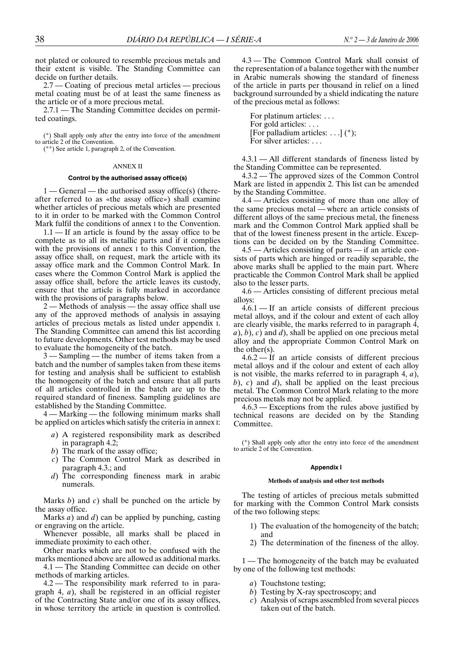not plated or coloured to resemble precious metals and their extent is visible. The Standing Committee can decide on further details.

2.7 — Coating of precious metal articles — precious metal coating must be of at least the same fineness as the article or of a more precious metal.

2.7.1 — The Standing Committee decides on permitted coatings.

(\*) Shall apply only after the entry into force of the amendment to article 2 of the Convention.

(\*\*) See article 1, paragraph 2, of the Convention.

### ANNEX II

### **Control by the authorised assay office(s)**

1 — General — the authorised assay office(s) (thereafter referred to as «the assay office») shall examine whether articles of precious metals which are presented to it in order to be marked with the Common Control Mark fulfil the conditions of annex I to the Convention.

 $1.1$  — If an article is found by the assay office to be complete as to all its metallic parts and if it complies with the provisions of annex I to this Convention, the assay office shall, on request, mark the article with its assay office mark and the Common Control Mark. In cases where the Common Control Mark is applied the assay office shall, before the article leaves its custody, ensure that the article is fully marked in accordance with the provisions of paragraphs below.

2 — Methods of analysis — the assay office shall use any of the approved methods of analysis in assaying articles of precious metals as listed under appendix I. The Standing Committee can amend this list according to future developments. Other test methods may be used to evaluate the homogeneity of the batch.

3 — Sampling — the number of items taken from a batch and the number of samples taken from these items for testing and analysis shall be sufficient to establish the homogeneity of the batch and ensure that all parts of all articles controlled in the batch are up to the required standard of fineness. Sampling guidelines are established by the Standing Committee.

4 — Marking — the following minimum marks shall be applied on articles which satisfy the criteria in annex I:

- *a*) A registered responsibility mark as described in paragraph 4.2;
- *b*) The mark of the assay office;
- *c*) The Common Control Mark as described in paragraph 4.3.; and
- *d*) The corresponding fineness mark in arabic numerals.

Marks *b*) and *c*) shall be punched on the article by the assay office.

Marks *a*) and *d*) can be applied by punching, casting or engraving on the article.

Whenever possible, all marks shall be placed in immediate proximity to each other.

Other marks which are not to be confused with the marks mentioned above are allowed as additional marks.

4.1 — The Standing Committee can decide on other methods of marking articles.

4.2 — The responsibility mark referred to in paragraph 4, *a*), shall be registered in an official register of the Contracting State and/or one of its assay offices, in whose territory the article in question is controlled.

4.3 — The Common Control Mark shall consist of the representation of a balance together with the number in Arabic numerals showing the standard of fineness of the article in parts per thousand in relief on a lined background surrounded by a shield indicating the nature of the precious metal as follows:

For platinum articles: . . . For gold articles: ... [For palladium articles: . . .]  $(*)$ ; For silver articles: ...

4.3.1 — All different standards of fineness listed by the Standing Committee can be represented.

4.3.2 — The approved sizes of the Common Control Mark are listed in appendix 2. This list can be amended by the Standing Committee.

4.4 — Articles consisting of more than one alloy of the same precious metal — where an article consists of different alloys of the same precious metal, the fineness mark and the Common Control Mark applied shall be that of the lowest fineness present in the article. Exceptions can be decided on by the Standing Committee.

4.5 — Articles consisting of parts — if an article consists of parts which are hinged or readily separable, the above marks shall be applied to the main part. Where practicable the Common Control Mark shall be applied also to the lesser parts.

4.6 — Articles consisting of different precious metal alloys:

4.6.1 — If an article consists of different precious metal alloys, and if the colour and extent of each alloy are clearly visible, the marks referred to in paragraph 4, *a*), *b*), *c*) and *d*), shall be applied on one precious metal alloy and the appropriate Common Control Mark on the other(s).

4.6.2 — If an article consists of different precious metal alloys and if the colour and extent of each alloy is not visible, the marks referred to in paragraph 4, *a*), *b*), *c*) and *d*), shall be applied on the least precious metal. The Common Control Mark relating to the more precious metals may not be applied.

4.6.3 — Exceptions from the rules above justified by technical reasons are decided on by the Standing Committee.

(\*) Shall apply only after the entry into force of the amendment to article 2 of the Convention.

## **Appendix I**

#### **Methods of analysis and other test methods**

The testing of articles of precious metals submitted for marking with the Common Control Mark consists of the two following steps:

- 1) The evaluation of the homogeneity of the batch; and
- 2) The determination of the fineness of the alloy.

1 — The homogeneity of the batch may be evaluated by one of the following test methods:

- *a*) Touchstone testing;
- *b*) Testing by X-ray spectroscopy; and
- *c*) Analysis of scraps assembled from several pieces taken out of the batch.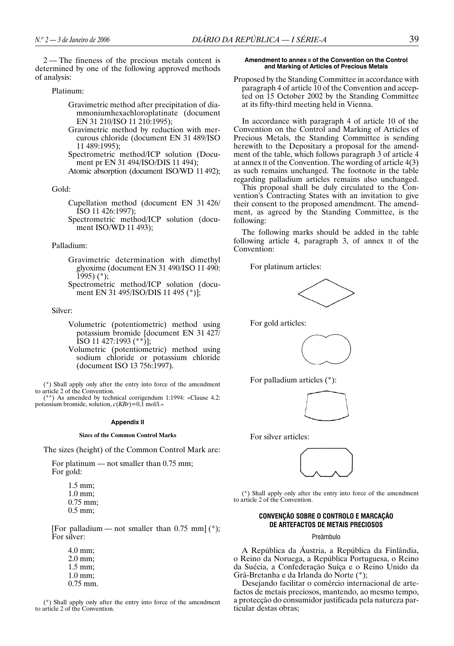2 — The fineness of the precious metals content is determined by one of the following approved methods of analysis:

## Platinum:

- Gravimetric method after precipitation of diammoniumhexachloroplatinate (document EN 31 210/ISO 11 210:1995);
- Gravimetric method by reduction with mercurous chloride (document EN 31 489/ISO 11 489:1995);

Spectrometric method/ICP solution (Document pr EN 31 494/ISO/DIS 11 494);

Atomic absorption (document ISO/WD 11 492);

Gold:

Cupellation method (document EN 31 426/ ISO 11 426:1997);

Spectrometric method/ICP solution (document ISO/WD 11 493);

### Palladium:

- Gravimetric determination with dimethyl glyoxime (document EN 31 490/ISO 11 490: 1995) (\*);
- Spectrometric method/ICP solution (document EN 31 495/ISO/DIS 11 495 (\*)];

Silver:

- Volumetric (potentiometric) method using potassium bromide [document EN 31 427/  $\overline{[}$ ISO 11 427:1993 (\*\*) $\overline{]}$ ;
- Volumetric (potentiometric) method using sodium chloride or potassium chloride (document ISO 13 756:1997).

(\*) Shall apply only after the entry into force of the amendment to article 2 of the Convention.

(\*\*) As amended by technical corrigendum 1:1994: «Clause 4.2: potassium bromide, solution, *c*(*KBr*)=0,1 mol/l.»

### **Appendix II**

### **Sizes of the Common Control Marks**

The sizes (height) of the Common Control Mark are:

For platinum — not smaller than 0.75 mm; For gold:

> 1.5 mm; 1.0 mm; 0.75 mm; 0.5 mm;

[For palladium — not smaller than  $0.75$  mm] (\*); For silver:

4.0 mm; 2.0 mm; 1.5 mm; 1.0 mm; 0.75 mm.

(\*) Shall apply only after the entry into force of the amendment to article 2 of the Convention.

### **Amendment to annex II of the Convention on the Control and Marking of Articles of Precious Metals**

Proposed by the Standing Committee in accordance with paragraph 4 of article 10 of the Convention and accepted on 15 October 2002 by the Standing Committee at its fifty-third meeting held in Vienna.

In accordance with paragraph 4 of article 10 of the Convention on the Control and Marking of Articles of Precious Metals, the Standing Committee is sending herewith to the Depositary a proposal for the amendment of the table, which follows paragraph 3 of article 4 at annex II of the Convention. The wording of article 4(3) as such remains unchanged. The footnote in the table regarding palladium articles remains also unchanged.

This proposal shall be duly circulated to the Convention's Contracting States with an invitation to give their consent to the proposed amendment. The amendment, as agreed by the Standing Committee, is the following:

The following marks should be added in the table following article 4, paragraph 3, of annex II of the Convention:

For platinum articles:



For gold articles:



For palladium articles (\*):



For silver articles:



(\*) Shall apply only after the entry into force of the amendment to article 2 of the Convention.

## **CONVENÇÃO SOBRE O CONTROLO E MARCAÇÃO DE ARTEFACTOS DE METAIS PRECIOSOS**

### Preâmbulo

A República da Áustria, a República da Finlândia, o Reino da Noruega, a República Portuguesa, o Reino da Suécia, a Confederação Suíça e o Reino Unido da Grã-Bretanha e da Irlanda do Norte (\*);

Desejando facilitar o comércio internacional de artefactos de metais preciosos, mantendo, ao mesmo tempo, a protecção do consumidor justificada pela natureza particular destas obras;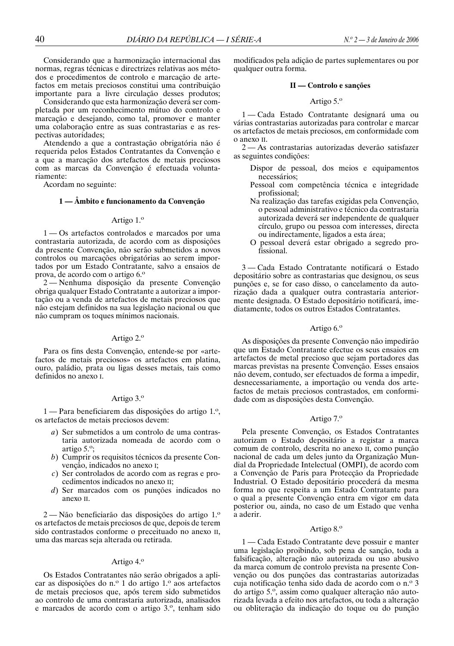Considerando que a harmonização internacional das normas, regras técnicas e directrizes relativas aos métodos e procedimentos de controlo e marcação de artefactos em metais preciosos constitui uma contribuição importante para a livre circulação desses produtos;

Considerando que esta harmonização deverá ser completada por um reconhecimento mútuo do controlo e marcação e desejando, como tal, promover e manter uma colaboração entre as suas contrastarias e as respectivas autoridades;

Atendendo a que a contrastação obrigatória não é requerida pelos Estados Contratantes da Convenção e a que a marcação dos artefactos de metais preciosos com as marcas da Convenção é efectuada voluntariamente:

Acordam no seguinte:

## **1 — Âmbito e funcionamento da Convenção**

## Artigo  $1.0$

1 — Os artefactos controlados e marcados por uma contrastaria autorizada, de acordo com as disposições da presente Convenção, não serão submetidos a novos controlos ou marcações obrigatórias ao serem importados por um Estado Contratante, salvo a ensaios de prova, de acordo com o artigo 6.<sup>o</sup>

2 — Nenhuma disposição da presente Convenção obriga qualquer Estado Contratante a autorizar a importação ou a venda de artefactos de metais preciosos que não estejam definidos na sua legislação nacional ou que não cumpram os toques mínimos nacionais.

## Artigo 2.º

Para os fins desta Convenção, entende-se por «artefactos de metais preciosos» os artefactos em platina, ouro, paládio, prata ou ligas desses metais, tais como definidos no anexo I.

## Artigo 3.º

1 — Para beneficiarem das disposições do artigo 1.º, os artefactos de metais preciosos devem:

- *a*) Ser submetidos a um controlo de uma contrastaria autorizada nomeada de acordo com o artigo 5.<sup>o</sup>;
- *b*) Cumprir os requisitos técnicos da presente Convenção, indicados no anexo I;
- *c*) Ser controlados de acordo com as regras e procedimentos indicados no anexo II;
- *d*) Ser marcados com os punções indicados no anexo II.

 $2 -$ Não beneficiarão das disposições do artigo  $1.0$ os artefactos de metais preciosos de que, depois de terem sido contrastados conforme o preceituado no anexo II, uma das marcas seja alterada ou retirada.

## Artigo  $4.^\circ$

Os Estados Contratantes não serão obrigados a aplicar as disposições do n.º 1 do artigo 1.º aos artefactos de metais preciosos que, após terem sido submetidos ao controlo de uma contrastaria autorizada, analisados e marcados de acordo com o artigo 3.º, tenham sido

modificados pela adição de partes suplementares ou por qualquer outra forma.

### **II — Controlo e sanções**

## Artigo  $5.$ <sup>o</sup>

1 — Cada Estado Contratante designará uma ou várias contrastarias autorizadas para controlar e marcar os artefactos de metais preciosos, em conformidade com o anexo II.

2 — As contrastarias autorizadas deverão satisfazer as seguintes condições:

- Dispor de pessoal, dos meios e equipamentos necessários;
- Pessoal com competência técnica e integridade profissional;
- Na realização das tarefas exigidas pela Convenção, o pessoal administrativo e técnico da contrastaria autorizada deverá ser independente de qualquer círculo, grupo ou pessoa com interesses, directa ou indirectamente, ligados a esta área;
- O pessoal deverá estar obrigado a segredo profissional.

3 — Cada Estado Contratante notificará o Estado depositário sobre as contrastarias que designou, os seus punções e, se for caso disso, o cancelamento da autorização dada a qualquer outra contrastaria anteriormente designada. O Estado depositário notificará, imediatamente, todos os outros Estados Contratantes.

## Artigo  $6.$ <sup>o</sup>

As disposições da presente Convenção não impedirão que um Estado Contratante efectue os seus ensaios em artefactos de metal precioso que sejam portadores das marcas previstas na presente Convenção. Esses ensaios não devem, contudo, ser efectuados de forma a impedir, desnecessariamente, a importação ou venda dos artefactos de metais preciosos contrastados, em conformidade com as disposições desta Convenção.

## Artigo 7.<sup>o</sup>

Pela presente Convenção, os Estados Contratantes autorizam o Estado depositário a registar a marca comum de controlo, descrita no anexo II, como punção nacional de cada um deles junto da Organização Mundial da Propriedade Intelectual (OMPI), de acordo com a Convenção de Paris para Protecção da Propriedade Industrial. O Estado depositário procederá da mesma forma no que respeita a um Estado Contratante para o qual a presente Convenção entra em vigor em data posterior ou, ainda, no caso de um Estado que venha a aderir.

## Artigo 8.º

1 — Cada Estado Contratante deve possuir e manter uma legislação proibindo, sob pena de sanção, toda a falsificação, alteração não autorizada ou uso abusivo da marca comum de controlo prevista na presente Convenção ou dos punções das contrastarias autorizadas cuja notificação tenha sido dada de acordo com o n.º 3 do artigo 5.º, assim como qualquer alteração não autorizada levada a efeito nos artefactos, ou toda a alteração ou obliteração da indicação do toque ou do punção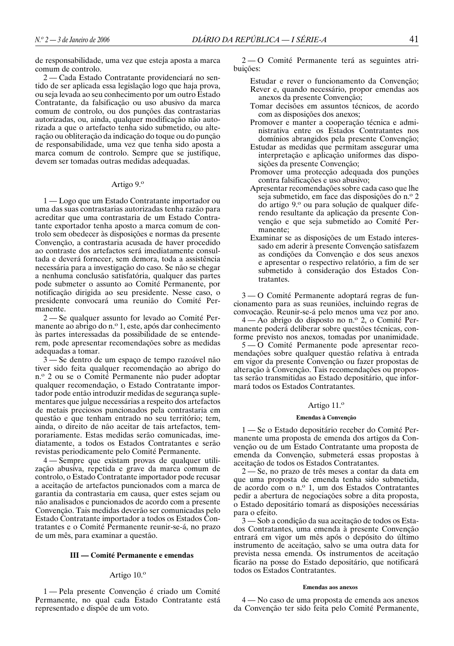de responsabilidade, uma vez que esteja aposta a marca comum de controlo.

2 — Cada Estado Contratante providenciará no sentido de ser aplicada essa legislação logo que haja prova, ou seja levada ao seu conhecimento por um outro Estado Contratante, da falsificação ou uso abusivo da marca comum de controlo, ou dos punções das contrastarias autorizadas, ou, ainda, qualquer modificação não autorizada a que o artefacto tenha sido submetido, ou alteração ou obliteração da indicação do toque ou do punção de responsabilidade, uma vez que tenha sido aposta a marca comum de controlo. Sempre que se justifique, devem ser tomadas outras medidas adequadas.

## Artigo  $9.^\circ$

1 — Logo que um Estado Contratante importador ou uma das suas contrastarias autorizadas tenha razão para acreditar que uma contrastaria de um Estado Contratante exportador tenha aposto a marca comum de controlo sem obedecer às disposições e normas da presente Convenção, a contrastaria acusada de haver procedido ao contraste dos artefactos será imediatamente consultada e deverá fornecer, sem demora, toda a assistência necessária para a investigação do caso. Se não se chegar a nenhuma conclusão satisfatória, qualquer das partes pode submeter o assunto ao Comité Permanente, por notificação dirigida ao seu presidente. Nesse caso, o presidente convocará uma reunião do Comité Permanente.

2 — Se qualquer assunto for levado ao Comité Permanente ao abrigo do n.º 1, este, após dar conhecimento às partes interessadas da possibilidade de se entenderem, pode apresentar recomendações sobre as medidas adequadas a tomar.

3 — Se dentro de um espaço de tempo razoável não tiver sido feita qualquer recomendação ao abrigo do n.<sup>o</sup> 2 ou se o Comité Permanente não puder adoptar qualquer recomendação, o Estado Contratante importador pode então introduzir medidas de segurança suplementares que julgue necessárias a respeito dos artefactos de metais preciosos puncionados pela contrastaria em questão e que tenham entrado no seu território; tem, ainda, o direito de não aceitar de tais artefactos, temporariamente. Estas medidas serão comunicadas, imediatamente, a todos os Estados Contratantes e serão revistas periodicamente pelo Comité Permanente.

4 — Sempre que existam provas de qualquer utilização abusiva, repetida e grave da marca comum de controlo, o Estado Contratante importador pode recusar a aceitação de artefactos puncionados com a marca de garantia da contrastaria em causa, quer estes sejam ou não analisados e puncionados de acordo com a presente Convenção. Tais medidas deverão ser comunicadas pelo Estado Contratante importador a todos os Estados Contratantes e o Comité Permanente reunir-se-á, no prazo de um mês, para examinar a questão.

## **III — Comité Permanente e emendas**

## Artigo  $10.0$

1 — Pela presente Convenção é criado um Comité Permanente, no qual cada Estado Contratante está representado e dispõe de um voto.

2 — O Comité Permanente terá as seguintes atribuições:

- Estudar e rever o funcionamento da Convenção; Rever e, quando necessário, propor emendas aos anexos da presente Convenção;
- Tomar decisões em assuntos técnicos, de acordo com as disposições dos anexos;
- Promover e manter a cooperação técnica e administrativa entre os Estados Contratantes nos domínios abrangidos pela presente Convenção;
- Estudar as medidas que permitam assegurar uma interpretação e aplicação uniformes das disposições da presente Convenção;
- Promover uma protecção adequada dos punções contra falsificações e uso abusivo;
- Apresentar recomendações sobre cada caso que lhe seja submetido, em face das disposições do n.º 2 do artigo 9.º ou para solução de qualquer diferendo resultante da aplicação da presente Convenção e que seja submetido ao Comité Permanente;
- Examinar se as disposições de um Estado interessado em aderir à presente Convenção satisfazem as condições da Convenção e dos seus anexos e apresentar o respectivo relatório, a fim de ser submetido à consideração dos Estados Contratantes.

3 — O Comité Permanente adoptará regras de funcionamento para as suas reuniões, incluindo regras de convocação. Reunir-se-á pelo menos uma vez por ano.

 $4 - A$ o abrigo do disposto no n.º 2, o Comité Permanente poderá deliberar sobre questões técnicas, conforme previsto nos anexos, tomadas por unanimidade.

5 — O Comité Permanente pode apresentar recomendações sobre qualquer questão relativa à entrada em vigor da presente Convenção ou fazer propostas de alteração à Convenção. Tais recomendações ou propostas serão transmitidas ao Estado depositário, que informará todos os Estados Contratantes.

## Artigo 11.º

## **Emendas à Convenção**

1 — Se o Estado depositário receber do Comité Permanente uma proposta de emenda dos artigos da Convenção ou de um Estado Contratante uma proposta de emenda da Convenção, submeterá essas propostas à aceitação de todos os Estados Contratantes.

2 — Se, no prazo de três meses a contar da data em que uma proposta de emenda tenha sido submetida, de acordo com o n.º 1, um dos Estados Contratantes pedir a abertura de negociações sobre a dita proposta, o Estado depositário tomará as disposições necessárias para o efeito.

3 — Sob a condição da sua aceitação de todos os Estados Contratantes, uma emenda à presente Convenção entrará em vigor um mês após o depósito do último instrumento de aceitação, salvo se uma outra data for prevista nessa emenda. Os instrumentos de aceitação ficarão na posse do Estado depositário, que notificará todos os Estados Contratantes.

#### **Emendas aos anexos**

4 — No caso de uma proposta de emenda aos anexos da Convenção ter sido feita pelo Comité Permanente,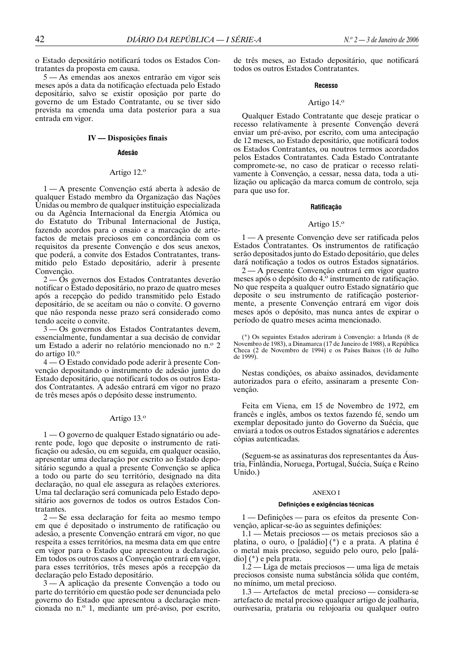o Estado depositário notificará todos os Estados Contratantes da proposta em causa.

5 — As emendas aos anexos entrarão em vigor seis meses após a data da notificação efectuada pelo Estado depositário, salvo se existir oposição por parte do governo de um Estado Contratante, ou se tiver sido prevista na emenda uma data posterior para a sua entrada em vigor.

## **IV — Disposições finais**

## **Adesão**

## Artigo 12.º

1 — A presente Convenção está aberta à adesão de qualquer Estado membro da Organização das Nações Unidas ou membro de qualquer instituição especializada ou da Agência Internacional da Energia Atómica ou do Estatuto do Tribunal Internacional de Justiça, fazendo acordos para o ensaio e a marcação de artefactos de metais preciosos em concordância com os requisitos da presente Convenção e dos seus anexos, que poderá, a convite dos Estados Contratantes, transmitido pelo Estado depositário, aderir à presente Convenção.

2 — Os governos dos Estados Contratantes deverão notificar o Estado depositário, no prazo de quatro meses após a recepção do pedido transmitido pelo Estado depositário, de se aceitam ou não o convite. O governo que não responda nesse prazo será considerado como tendo aceite o convite.

3 — Os governos dos Estados Contratantes devem, essencialmente, fundamentar a sua decisão de convidar um Estado a aderir no relatório mencionado no n.º 2 do artigo  $10.°$ 

4 — O Estado convidado pode aderir à presente Convenção depositando o instrumento de adesão junto do Estado depositário, que notificará todos os outros Estados Contratantes. A adesão entrará em vigor no prazo de três meses após o depósito desse instrumento.

## Artigo 13.º

1 — O governo de qualquer Estado signatário ou aderente pode, logo que deposite o instrumento de ratificação ou adesão, ou em seguida, em qualquer ocasião, apresentar uma declaração por escrito ao Estado depositário segundo a qual a presente Convenção se aplica a todo ou parte do seu território, designado na dita declaração, no qual ele assegura as relações exteriores. Uma tal declaração será comunicada pelo Estado depositário aos governos de todos os outros Estados Contratantes.

2 — Se essa declaração for feita ao mesmo tempo em que é depositado o instrumento de ratificação ou adesão, a presente Convenção entrará em vigor, no que respeita a esses territórios, na mesma data em que entre em vigor para o Estado que apresentou a declaração. Em todos os outros casos a Convenção entrará em vigor, para esses territórios, três meses após a recepção da declaração pelo Estado depositário.

3 — A aplicação da presente Convenção a todo ou parte do território em questão pode ser denunciada pelo governo do Estado que apresentou a declaração mencionada no n.º 1, mediante um pré-aviso, por escrito,

de três meses, ao Estado depositário, que notificará todos os outros Estados Contratantes.

#### **Recesso**

### Artigo  $14.°$

Qualquer Estado Contratante que deseje praticar o recesso relativamente à presente Convenção deverá enviar um pré-aviso, por escrito, com uma antecipação de 12 meses, ao Estado depositário, que notificará todos os Estados Contratantes, ou noutros termos acordados pelos Estados Contratantes. Cada Estado Contratante compromete-se, no caso de praticar o recesso relativamente à Convenção, a cessar, nessa data, toda a utilização ou aplicação da marca comum de controlo, seja para que uso for.

## **Ratificação**

### Artigo  $15.$ <sup>o</sup>

1 — A presente Convenção deve ser ratificada pelos Estados Contratantes. Os instrumentos de ratificação serão depositados junto do Estado depositário, que deles dará notificação a todos os outros Estados signatários.

2 — A presente Convenção entrará em vigor quatro meses após o depósito do 4.º instrumento de ratificação. No que respeita a qualquer outro Estado signatário que deposite o seu instrumento de ratificação posteriormente, a presente Convenção entrará em vigor dois meses após o depósito, mas nunca antes de expirar o período de quatro meses acima mencionado.

(\*) Os seguintes Estados aderiram à Convenção: a Irlanda (8 de Novembro de 1983), a Dinamarca (17 de Janeiro de 1988), a República Checa (2 de Novembro de 1994) e os Países Baixos (16 de Julho de 1999).

Nestas condições, os abaixo assinados, devidamente autorizados para o efeito, assinaram a presente Convenção.

Feita em Viena, em 15 de Novembro de 1972, em francês e inglês, ambos os textos fazendo fé, sendo um exemplar depositado junto do Governo da Suécia, que enviará a todos os outros Estados signatários e aderentes cópias autenticadas.

(Seguem-se as assinaturas dos representantes da Áustria, Finlândia, Noruega, Portugal, Suécia, Suíça e Reino Unido.)

### ANEXO I

## **Definições e exigências técnicas**

1 — Definições — para os efeitos da presente Convenção, aplicar-se-ão as seguintes definições:

1.1 — Metais preciosos — os metais preciosos são a platina, o ouro, o [paládio] (\*) e a prata. A platina é o metal mais precioso, seguido pelo ouro, pelo [paládio] (\*) e pela prata.

1.2 — Liga de metais preciosos — uma liga de metais preciosos consiste numa substância sólida que contém, no mínimo, um metal precioso.

1.3 — Artefactos de metal precioso — considera-se artefacto de metal precioso qualquer artigo de joalharia, ourivesaria, prataria ou relojoaria ou qualquer outro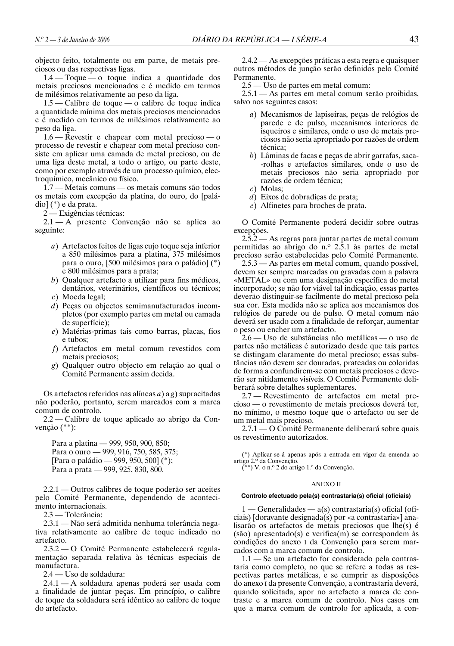objecto feito, totalmente ou em parte, de metais preciosos ou das respectivas ligas.

1.4 — Toque — o toque indica a quantidade dos metais preciosos mencionados e é medido em termos de milésimos relativamente ao peso da liga.

1.5 — Calibre de toque — o calibre de toque indica a quantidade mínima dos metais preciosos mencionados e é medido em termos de milésimos relativamente ao peso da liga.

1.6 — Revestir e chapear com metal precioso — o processo de revestir e chapear com metal precioso consiste em aplicar uma camada de metal precioso, ou de uma liga deste metal, a todo o artigo, ou parte deste, como por exemplo através de um processo químico, electroquímico, mecânico ou físico.

1.7 — Metais comuns — os metais comuns são todos os metais com excepção da platina, do ouro, do [paládio] (\*) e da prata.

2 — Exigências técnicas:

2.1 — A presente Convenção não se aplica ao seguinte:

- *a*) Artefactos feitos de ligas cujo toque seja inferior a 850 milésimos para a platina, 375 milésimos para o ouro, [500 milésimos para o paládio] (\*) e 800 milésimos para a prata;
- *b*) Qualquer artefacto a utilizar para fins médicos, dentários, veterinários, científicos ou técnicos;
- *c*) Moeda legal;
- *d*) Peças ou objectos semimanufacturados incompletos (por exemplo partes em metal ou camada de superfície);
- *e*) Matérias-primas tais como barras, placas, fios e tubos;
- *f*) Artefactos em metal comum revestidos com metais preciosos;
- *g*) Qualquer outro objecto em relação ao qual o Comité Permanente assim decida.

Os artefactos referidos nas alíneas *a*) a *g*) supracitadas não poderão, portanto, serem marcados com a marca comum de controlo.

2.2 — Calibre de toque aplicado ao abrigo da Convenção (\*\*):

Para a platina — 999, 950, 900, 850; Para o ouro — 999, 916, 750, 585, 375; [Para o paládio — 999, 950, 500] (\*); Para a prata — 999, 925, 830, 800.

2.2.1 — Outros calibres de toque poderão ser aceites pelo Comité Permanente, dependendo de acontecimento internacionais.

2.3 — Tolerância:

2.3.1 — Não será admitida nenhuma tolerância negativa relativamente ao calibre de toque indicado no artefacto.

2.3.2 — O Comité Permanente estabelecerá regulamentação separada relativa às técnicas especiais de manufactura.

2.4 — Uso de soldadura:

2.4.1 — A soldadura apenas poderá ser usada com a finalidade de juntar peças. Em princípio, o calibre de toque da soldadura será idêntico ao calibre de toque do artefacto.

2.4.2 — As excepções práticas a esta regra e quaisquer outros métodos de junção serão definidos pelo Comité Permanente.

2.5 — Uso de partes em metal comum:

2.5.1 — As partes em metal comum serão proibidas, salvo nos seguintes casos:

- *a*) Mecanismos de lapiseiras, peças de relógios de parede e de pulso, mecanismos interiores de isqueiros e similares, onde o uso de metais preciosos não seria apropriado por razões de ordem técnica;
- *b*) Lâminas de facas e peças de abrir garrafas, saca- -rolhas e artefactos similares, onde o uso de metais preciosos não seria apropriado por razões de ordem técnica;
- *c*) Molas;
- *d*) Eixos de dobradiças de prata;
- *e*) Alfinetes para broches de prata.

O Comité Permanente poderá decidir sobre outras excepções.

2.5.2 — As regras para juntar partes de metal comum permitidas ao abrigo do n. $\degree$  2.5.1 às partes de metal precioso serão estabelecidas pelo Comité Permanente.

2.5.3 — As partes em metal comum, quando possível, devem ser sempre marcadas ou gravadas com a palavra «METAL» ou com uma designação específica do metal incorporado; se não for viável tal indicação, essas partes deverão distinguir-se facilmente do metal precioso pela sua cor. Esta medida não se aplica aos mecanismos dos relógios de parede ou de pulso. O metal comum não deverá ser usado com a finalidade de reforçar, aumentar o peso ou encher um artefacto.

2.6 — Uso de substâncias não metálicas — o uso de partes não metálicas é autorizado desde que tais partes se distingam claramente do metal precioso; essas substâncias não devem ser douradas, prateadas ou coloridas de forma a confundirem-se com metais preciosos e deverão ser nitidamente visíveis. O Comité Permanente deliberará sobre detalhes suplementares.

2.7 — Revestimento de artefactos em metal precioso — o revestimento de metais preciosos deverá ter, no mínimo, o mesmo toque que o artefacto ou ser de um metal mais precioso.

2.7.1 — O Comité Permanente deliberará sobre quais os revestimento autorizados.

(\*) Aplicar-se-á apenas após a entrada em vigor da emenda ao artigo 2.º da Convenção.

(\*\*) V. o n.º 2 do artigo 1.º da Convenção.

### ANEXO II

## **Controlo efectuado pela(s) contrastaria(s) oficial (oficiais)**

1 — Generalidades — a(s) contrastaria(s) oficial (oficiais) [doravante designada(s) por «a contrastaria»] analisarão os artefactos de metais preciosos que lhe(s) é (são) apresentado(s) e verifica(m) se correspondem às condições do anexo I da Convenção para serem marcados com a marca comum de controlo.

1.1 — Se um artefacto for considerado pela contrastaria como completo, no que se refere a todas as respectivas partes metálicas, e se cumprir as disposições do anexo I da presente Convenção, a contrastaria deverá, quando solicitada, apor no artefacto a marca de contraste e a marca comum de controlo. Nos casos em que a marca comum de controlo for aplicada, a con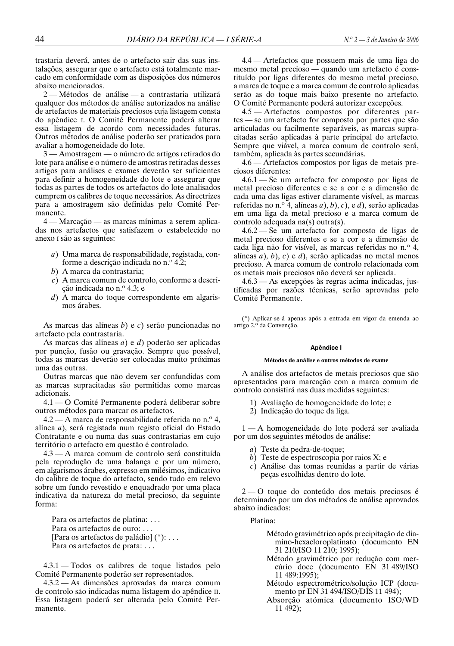trastaria deverá, antes de o artefacto sair das suas instalações, assegurar que o artefacto está totalmente marcado em conformidade com as disposições dos números abaixo mencionados.

2 — Métodos de análise — a contrastaria utilizará qualquer dos métodos de análise autorizados na análise de artefactos de materiais preciosos cuja listagem consta do apêndice I. O Comité Permanente poderá alterar essa listagem de acordo com necessidades futuras. Outros métodos de análise poderão ser praticados para avaliar a homogeneidade do lote.

3 — Amostragem — o número de artigos retirados do lote para análise e o número de amostras retiradas desses artigos para análises e exames deverão ser suficientes para definir a homogeneidade do lote e assegurar que todas as partes de todos os artefactos do lote analisados cumprem os calibres de toque necessários. As directrizes para a amostragem são definidas pelo Comité Permanente.

4 — Marcação — as marcas mínimas a serem aplicadas nos artefactos que satisfazem o estabelecido no anexo I são as seguintes:

- *a*) Uma marca de responsabilidade, registada, conforme a descrição indicada no n.º 4.2;
- *b*) A marca da contrastaria;
- *c*) A marca comum de controlo, conforme a descrição indicada no n.º 4.3; e
- *d*) A marca do toque correspondente em algarismos árabes.

As marcas das alíneas *b*) e *c*) serão puncionadas no artefacto pela contrastaria.

As marcas das alíneas *a*) e *d*) poderão ser aplicadas por punção, fusão ou gravação. Sempre que possível, todas as marcas deverão ser colocadas muito próximas uma das outras.

Outras marcas que não devem ser confundidas com as marcas supracitadas são permitidas como marcas adicionais.

4.1 — O Comité Permanente poderá deliberar sobre outros métodos para marcar os artefactos.

 $4.2 - A$  marca de responsabilidade referida no n.<sup>o</sup> 4, alínea *a*), será registada num registo oficial do Estado Contratante e ou numa das suas contrastarias em cujo território o artefacto em questão é controlado.

4.3 — A marca comum de controlo será constituída pela reprodução de uma balança e por um número, em algarismos árabes, expresso em milésimos, indicativo do calibre de toque do artefacto, sendo tudo em relevo sobre um fundo revestido e enquadrado por uma placa indicativa da natureza do metal precioso, da seguinte forma:

Para os artefactos de platina: . . . Para os artefactos de ouro: . . . [Para os artefactos de paládio] (\*): . . . Para os artefactos de prata: . . .

4.3.1 — Todos os calibres de toque listados pelo Comité Permanente poderão ser representados.

4.3.2 — As dimensões aprovadas da marca comum de controlo são indicadas numa listagem do apêndice II. Essa listagem poderá ser alterada pelo Comité Permanente.

4.4 — Artefactos que possuem mais de uma liga do mesmo metal precioso — quando um artefacto é constituído por ligas diferentes do mesmo metal precioso, a marca de toque e a marca comum de controlo aplicadas serão as do toque mais baixo presente no artefacto. O Comité Permanente poderá autorizar excepções.

4.5 — Artefactos compostos por diferentes partes — se um artefacto for composto por partes que são articuladas ou facilmente separáveis, as marcas supracitadas serão aplicadas à parte principal do artefacto. Sempre que viável, a marca comum de controlo será, também, aplicada às partes secundárias.

4.6 — Artefactos compostos por ligas de metais preciosos diferentes:

4.6.1 — Se um artefacto for composto por ligas de metal precioso diferentes e se a cor e a dimensão de cada uma das ligas estiver claramente visível, as marcas referidas no n.o 4, alíneas *a*), *b*), *c*), e *d*), serão aplicadas em uma liga da metal precioso e a marca comum de controlo adequada na(s) outra(s).

4.6.2 — Se um artefacto for composto de ligas de metal precioso diferentes e se a cor e a dimensão de cada liga não for visível, as marcas referidas no n.º 4, alíneas *a*), *b*), *c*) e *d*), serão aplicadas no metal menos precioso. A marca comum de controlo relacionada com os metais mais preciosos não deverá ser aplicada.

4.6.3 — As excepções às regras acima indicadas, justificadas por razões técnicas, serão aprovadas pelo Comité Permanente.

(\*) Aplicar-se-á apenas após a entrada em vigor da emenda ao artigo 2.º da Convenção.

### **Apêndice I**

### **Métodos de análise e outros métodos de exame**

A análise dos artefactos de metais preciosos que são apresentados para marcação com a marca comum de controlo consistirá nas duas medidas seguintes:

- 1) Avaliação de homogeneidade do lote; e
- 2) Indicação do toque da liga.

1 — A homogeneidade do lote poderá ser avaliada por um dos seguintes métodos de análise:

- *a*) Teste da pedra-de-toque;
- *b*) Teste de espectroscopia por raios X; e
- *c*) Análise das tomas reunidas a partir de várias peças escolhidas dentro do lote.

2 — O toque do conteúdo dos metais preciosos é determinado por um dos métodos de análise aprovados abaixo indicados:

### Platina:

- Método gravimétrico após precipitação de diamino-hexacloroplatinato (documento EN 31 210/ISO 11 210; 1995);
- Método gravimétrico por redução com mercúrio doce (documento EN 31 489/ISO 11 489:1995);
- Método espectrométrico/solução ICP (documento pr EN 31 494/ISO/DIS 11 494);
- Absorção atómica (documento ISO/WD 11 492);